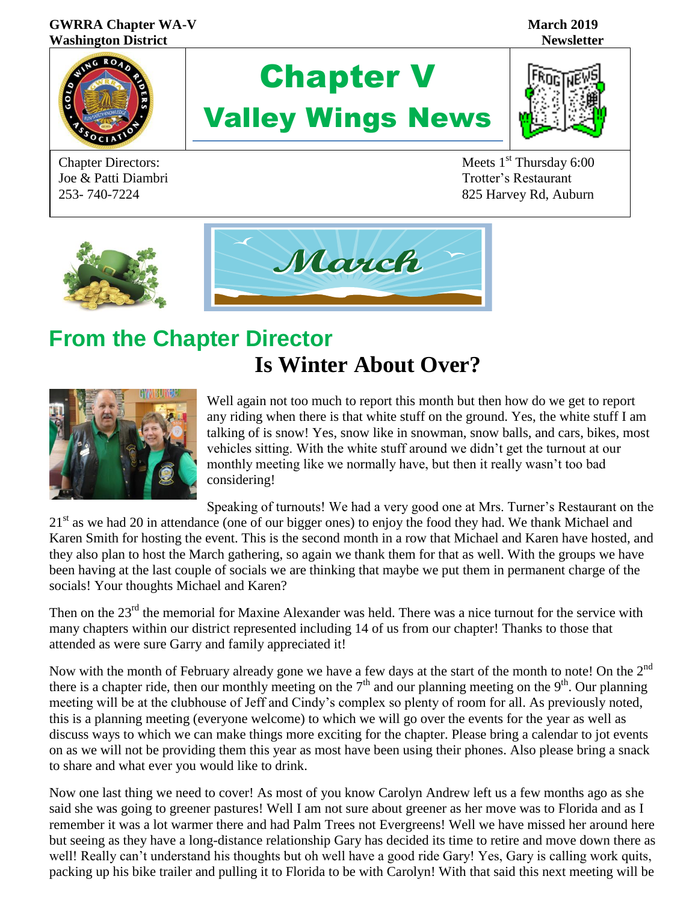#### **GWRRA Chapter WA-V** March<sub>2019</sub> March<sub>2019</sub> **Washington District Newsletter**



# Chapter V Valley Wings News



Chapter Directors: Meets 1<sup>st</sup> Thursday 6:00 Joe & Patti Diambri Trotter's Restaurant 253- 740-7224 825 Harvey Rd, Auburn



## **From the Chapter Director Is Winter About Over?**



Well again not too much to report this month but then how do we get to report any riding when there is that white stuff on the ground. Yes, the white stuff I am talking of is snow! Yes, snow like in snowman, snow balls, and cars, bikes, most vehicles sitting. With the white stuff around we didn't get the turnout at our monthly meeting like we normally have, but then it really wasn't too bad considering!

Speaking of turnouts! We had a very good one at Mrs. Turner's Restaurant on the  $21<sup>st</sup>$  as we had 20 in attendance (one of our bigger ones) to enjoy the food they had. We thank Michael and Karen Smith for hosting the event. This is the second month in a row that Michael and Karen have hosted, and they also plan to host the March gathering, so again we thank them for that as well. With the groups we have been having at the last couple of socials we are thinking that maybe we put them in permanent charge of the socials! Your thoughts Michael and Karen?

Then on the 23<sup>rd</sup> the memorial for Maxine Alexander was held. There was a nice turnout for the service with many chapters within our district represented including 14 of us from our chapter! Thanks to those that attended as were sure Garry and family appreciated it!

Now with the month of February already gone we have a few days at the start of the month to note! On the 2<sup>nd</sup> there is a chapter ride, then our monthly meeting on the  $7<sup>th</sup>$  and our planning meeting on the  $9<sup>th</sup>$ . Our planning meeting will be at the clubhouse of Jeff and Cindy's complex so plenty of room for all. As previously noted, this is a planning meeting (everyone welcome) to which we will go over the events for the year as well as discuss ways to which we can make things more exciting for the chapter. Please bring a calendar to jot events on as we will not be providing them this year as most have been using their phones. Also please bring a snack to share and what ever you would like to drink.

Now one last thing we need to cover! As most of you know Carolyn Andrew left us a few months ago as she said she was going to greener pastures! Well I am not sure about greener as her move was to Florida and as I remember it was a lot warmer there and had Palm Trees not Evergreens! Well we have missed her around here but seeing as they have a long-distance relationship Gary has decided its time to retire and move down there as well! Really can't understand his thoughts but oh well have a good ride Gary! Yes, Gary is calling work quits, packing up his bike trailer and pulling it to Florida to be with Carolyn! With that said this next meeting will be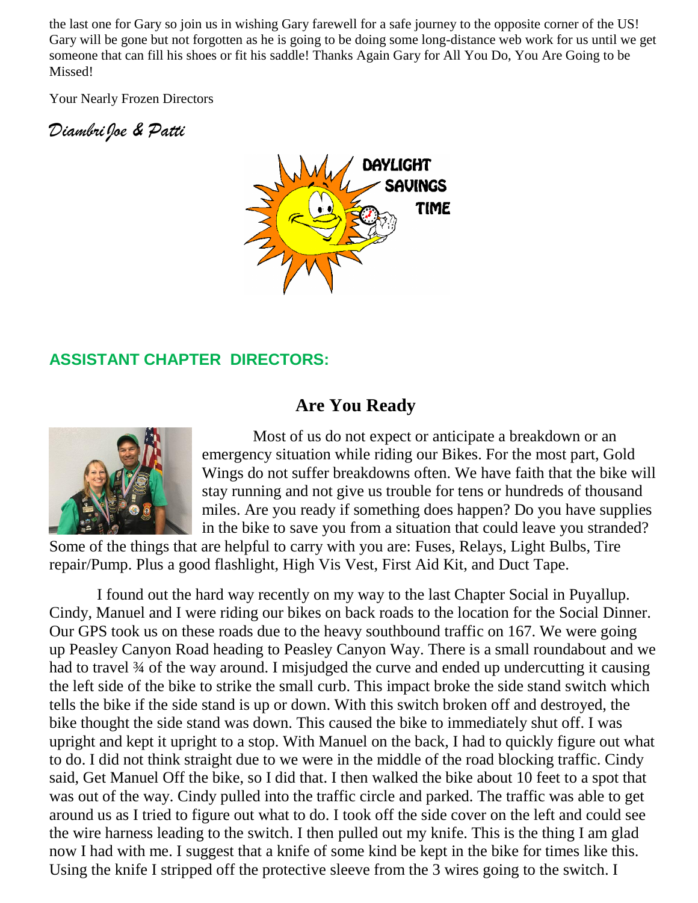the last one for Gary so join us in wishing Gary farewell for a safe journey to the opposite corner of the US! Gary will be gone but not forgotten as he is going to be doing some long-distance web work for us until we get someone that can fill his shoes or fit his saddle! Thanks Again Gary for All You Do, You Are Going to be Missed!

Your Nearly Frozen Directors

*DiambriJoe & Patti* <sup>C</sup>



#### **ASSISTANT CHAPTER DIRECTORS:**

#### **Are You Ready**



 Most of us do not expect or anticipate a breakdown or an emergency situation while riding our Bikes. For the most part, Gold Wings do not suffer breakdowns often. We have faith that the bike will stay running and not give us trouble for tens or hundreds of thousand miles. Are you ready if something does happen? Do you have supplies in the bike to save you from a situation that could leave you stranded?

Some of the things that are helpful to carry with you are: Fuses, Relays, Light Bulbs, Tire repair/Pump. Plus a good flashlight, High Vis Vest, First Aid Kit, and Duct Tape.

 I found out the hard way recently on my way to the last Chapter Social in Puyallup. Cindy, Manuel and I were riding our bikes on back roads to the location for the Social Dinner. Our GPS took us on these roads due to the heavy southbound traffic on 167. We were going up Peasley Canyon Road heading to Peasley Canyon Way. There is a small roundabout and we had to travel 34 of the way around. I misjudged the curve and ended up undercutting it causing the left side of the bike to strike the small curb. This impact broke the side stand switch which tells the bike if the side stand is up or down. With this switch broken off and destroyed, the bike thought the side stand was down. This caused the bike to immediately shut off. I was upright and kept it upright to a stop. With Manuel on the back, I had to quickly figure out what to do. I did not think straight due to we were in the middle of the road blocking traffic. Cindy said, Get Manuel Off the bike, so I did that. I then walked the bike about 10 feet to a spot that was out of the way. Cindy pulled into the traffic circle and parked. The traffic was able to get around us as I tried to figure out what to do. I took off the side cover on the left and could see the wire harness leading to the switch. I then pulled out my knife. This is the thing I am glad now I had with me. I suggest that a knife of some kind be kept in the bike for times like this. Using the knife I stripped off the protective sleeve from the 3 wires going to the switch. I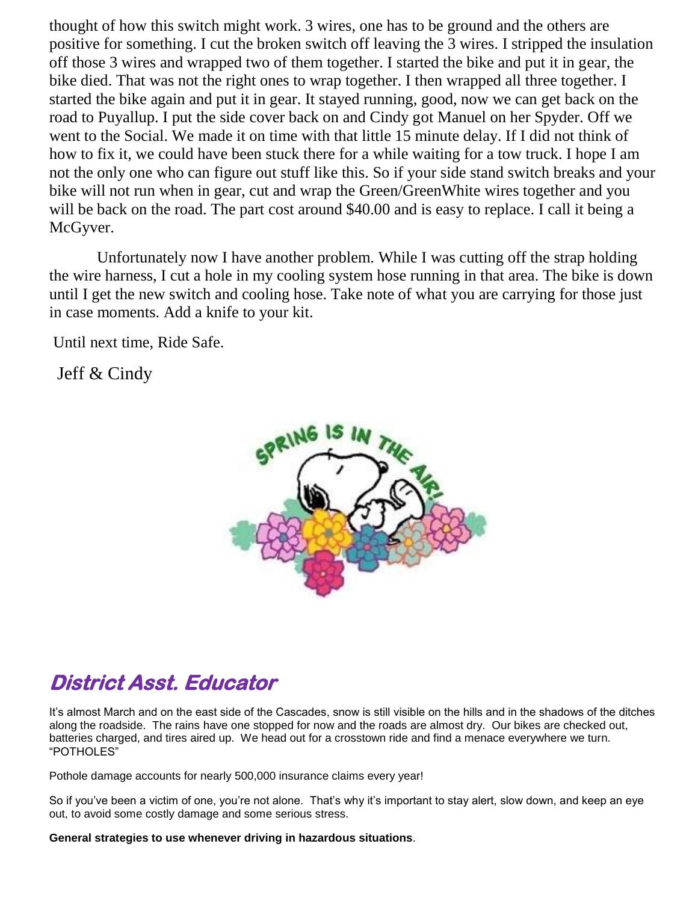thought of how this switch might work. 3 wires, one has to be ground and the others are positive for something. I cut the broken switch off leaving the 3 wires. I stripped the insulation off those 3 wires and wrapped two of them together. I started the bike and put it in gear, the bike died. That was not the right ones to wrap together. I then wrapped all three together. I started the bike again and put it in gear. It stayed running, good, now we can get back on the road to Puyallup. I put the side cover back on and Cindy got Manuel on her Spyder. Off we went to the Social. We made it on time with that little 15 minute delay. If I did not think of how to fix it, we could have been stuck there for a while waiting for a tow truck. I hope I am not the only one who can figure out stuff like this. So if your side stand switch breaks and your bike will not run when in gear, cut and wrap the Green/GreenWhite wires together and you will be back on the road. The part cost around \$40.00 and is easy to replace. I call it being a McGyver.

 Unfortunately now I have another problem. While I was cutting off the strap holding the wire harness, I cut a hole in my cooling system hose running in that area. The bike is down until I get the new switch and cooling hose. Take note of what you are carrying for those just in case moments. Add a knife to your kit.

Until next time, Ride Safe.

Jeff  $&$  Cindy



## **District Asst. Educator**

It's almost March and on the east side of the Cascades, snow is still visible on the hills and in the shadows of the ditches along the roadside. The rains have one stopped for now and the roads are almost dry. Our bikes are checked out, batteries charged, and tires aired up. We head out for a crosstown ride and find a menace everywhere we turn. "POTHOLES"

Pothole damage accounts for nearly 500,000 insurance claims every year!

So if you've been a victim of one, you're not alone. That's why it's important to stay alert, slow down, and keep an eye out, to avoid some costly damage and some serious stress.

**General strategies to use whenever driving in hazardous situations**.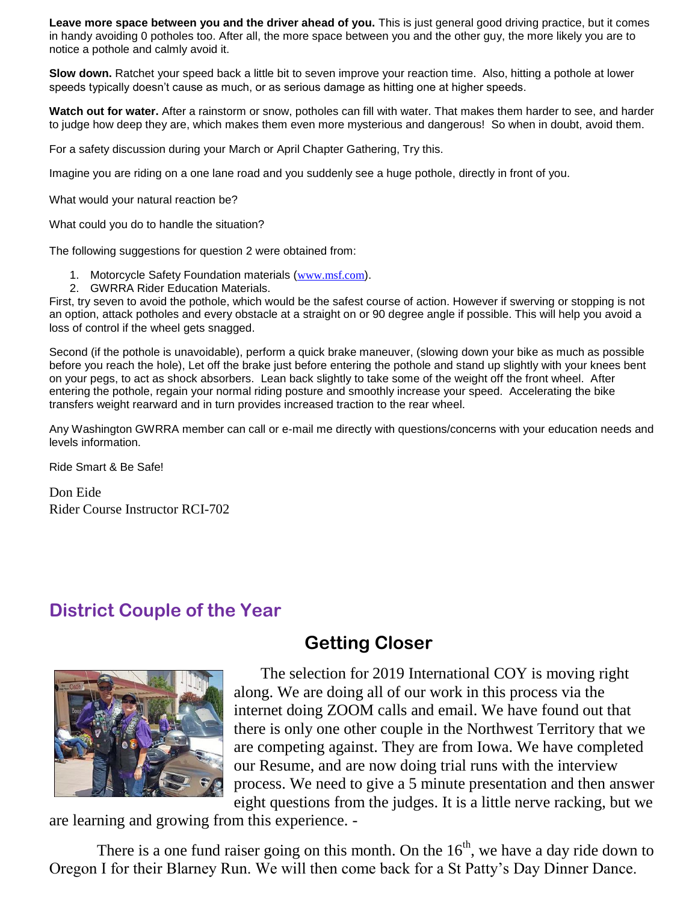**Leave more space between you and the driver ahead of you.** This is just general good driving practice, but it comes in handy avoiding 0 potholes too. After all, the more space between you and the other guy, the more likely you are to notice a pothole and calmly avoid it.

**Slow down.** Ratchet your speed back a little bit to seven improve your reaction time. Also, hitting a pothole at lower speeds typically doesn't cause as much, or as serious damage as hitting one at higher speeds.

**Watch out for water.** After a rainstorm or snow, potholes can fill with water. That makes them harder to see, and harder to judge how deep they are, which makes them even more mysterious and dangerous! So when in doubt, avoid them.

For a safety discussion during your March or April Chapter Gathering, Try this.

Imagine you are riding on a one lane road and you suddenly see a huge pothole, directly in front of you.

What would your natural reaction be?

What could you do to handle the situation?

The following suggestions for question 2 were obtained from:

- 1. Motorcycle Safety Foundation materials ([www.msf.com](http://www.msf.com/)).
- 2. GWRRA Rider Education Materials.

First, try seven to avoid the pothole, which would be the safest course of action. However if swerving or stopping is not an option, attack potholes and every obstacle at a straight on or 90 degree angle if possible. This will help you avoid a loss of control if the wheel gets snagged.

Second (if the pothole is unavoidable), perform a quick brake maneuver, (slowing down your bike as much as possible before you reach the hole), Let off the brake just before entering the pothole and stand up slightly with your knees bent on your pegs, to act as shock absorbers. Lean back slightly to take some of the weight off the front wheel. After entering the pothole, regain your normal riding posture and smoothly increase your speed. Accelerating the bike transfers weight rearward and in turn provides increased traction to the rear wheel.

Any Washington GWRRA member can call or e-mail me directly with questions/concerns with your education needs and levels information.

Ride Smart & Be Safe!

Don Eide Rider Course Instructor RCI-702

#### **District Couple of the Year**



The selection for 2019 International COY is moving right along. We are doing all of our work in this process via the internet doing ZOOM calls and email. We have found out that there is only one other couple in the Northwest Territory that we are competing against. They are from Iowa. We have completed our Resume, and are now doing trial runs with the interview process. We need to give a 5 minute presentation and then answer eight questions from the judges. It is a little nerve racking, but we

are learning and growing from this experience. -

There is a one fund raiser going on this month. On the  $16<sup>th</sup>$ , we have a day ride down to Oregon I for their Blarney Run. We will then come back for a St Patty's Day Dinner Dance.

## **Getting Closer**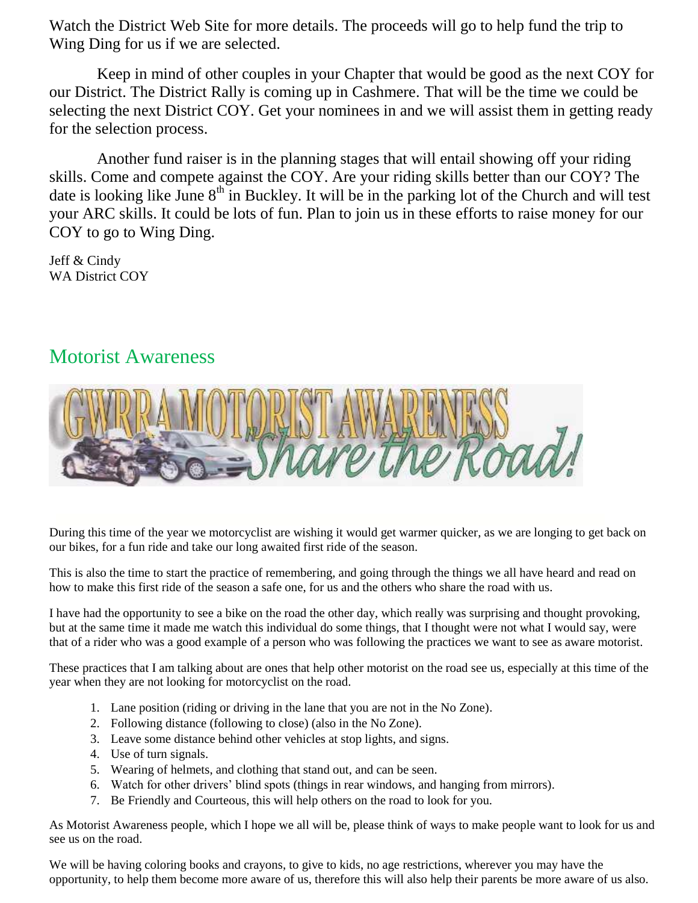Watch the District Web Site for more details. The proceeds will go to help fund the trip to Wing Ding for us if we are selected.

 Keep in mind of other couples in your Chapter that would be good as the next COY for our District. The District Rally is coming up in Cashmere. That will be the time we could be selecting the next District COY. Get your nominees in and we will assist them in getting ready for the selection process.

 Another fund raiser is in the planning stages that will entail showing off your riding skills. Come and compete against the COY. Are your riding skills better than our COY? The date is looking like June  $8<sup>th</sup>$  in Buckley. It will be in the parking lot of the Church and will test your ARC skills. It could be lots of fun. Plan to join us in these efforts to raise money for our COY to go to Wing Ding.

Jeff & Cindy WA District COY

#### Motorist Awareness



During this time of the year we motorcyclist are wishing it would get warmer quicker, as we are longing to get back on our bikes, for a fun ride and take our long awaited first ride of the season.

This is also the time to start the practice of remembering, and going through the things we all have heard and read on how to make this first ride of the season a safe one, for us and the others who share the road with us.

I have had the opportunity to see a bike on the road the other day, which really was surprising and thought provoking, but at the same time it made me watch this individual do some things, that I thought were not what I would say, were that of a rider who was a good example of a person who was following the practices we want to see as aware motorist.

These practices that I am talking about are ones that help other motorist on the road see us, especially at this time of the year when they are not looking for motorcyclist on the road.

- 1. Lane position (riding or driving in the lane that you are not in the No Zone).
- 2. Following distance (following to close) (also in the No Zone).
- 3. Leave some distance behind other vehicles at stop lights, and signs.
- 4. Use of turn signals.
- 5. Wearing of helmets, and clothing that stand out, and can be seen.
- 6. Watch for other drivers' blind spots (things in rear windows, and hanging from mirrors).
- 7. Be Friendly and Courteous, this will help others on the road to look for you.

As Motorist Awareness people, which I hope we all will be, please think of ways to make people want to look for us and see us on the road.

We will be having coloring books and crayons, to give to kids, no age restrictions, wherever you may have the opportunity, to help them become more aware of us, therefore this will also help their parents be more aware of us also.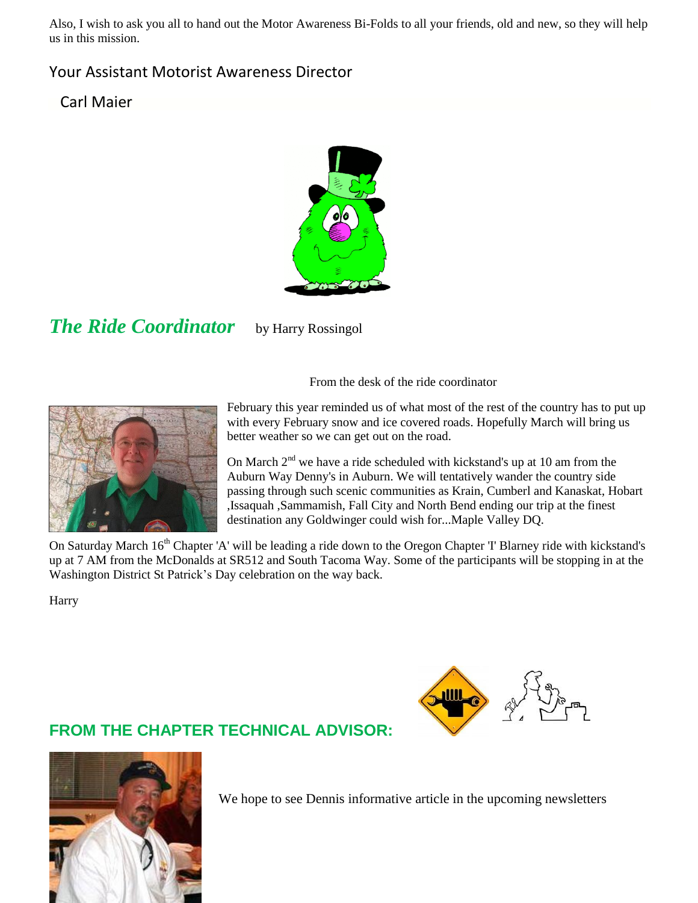Also, I wish to ask you all to hand out the Motor Awareness Bi-Folds to all your friends, old and new, so they will help us in this mission.

#### Your Assistant Motorist Awareness Director

Carl Maier



*The Ride Coordinator* by Harry Rossingol

From the desk of the ride coordinator



February this year reminded us of what most of the rest of the country has to put up with every February snow and ice covered roads. Hopefully March will bring us better weather so we can get out on the road.

On March  $2<sup>nd</sup>$  we have a ride scheduled with kickstand's up at 10 am from the Auburn Way Denny's in Auburn. We will tentatively wander the country side passing through such scenic communities as Krain, Cumberl and Kanaskat, Hobart ,Issaquah ,Sammamish, Fall City and North Bend ending our trip at the finest destination any Goldwinger could wish for...Maple Valley DQ.

On Saturday March 16<sup>th</sup> Chapter 'A' will be leading a ride down to the Oregon Chapter 'I' Blarney ride with kickstand's up at 7 AM from the McDonalds at SR512 and South Tacoma Way. Some of the participants will be stopping in at the Washington District St Patrick's Day celebration on the way back.

Harry



#### **FROM THE CHAPTER TECHNICAL ADVISOR:**



We hope to see Dennis informative article in the upcoming newsletters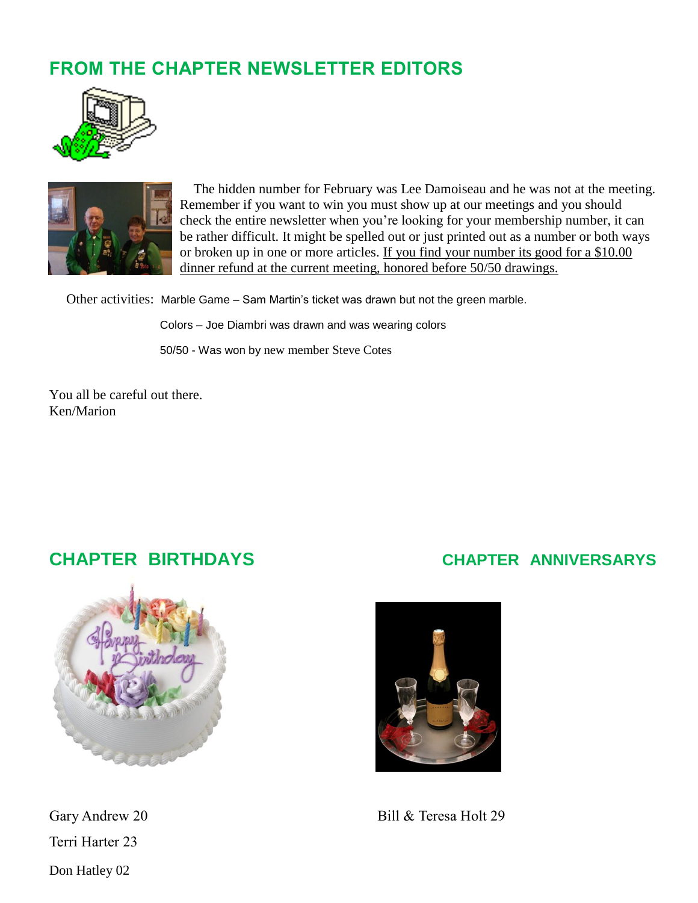## **FROM THE CHAPTER NEWSLETTER EDITORS**





 The hidden number for February was Lee Damoiseau and he was not at the meeting. Remember if you want to win you must show up at our meetings and you should check the entire newsletter when you're looking for your membership number, it can be rather difficult. It might be spelled out or just printed out as a number or both ways or broken up in one or more articles. If you find your number its good for a \$10.00 dinner refund at the current meeting, honored before 50/50 drawings.

Other activities: Marble Game – Sam Martin's ticket was drawn but not the green marble.

Colors – Joe Diambri was drawn and was wearing colors

50/50 - Was won by new member Steve Cotes

You all be careful out there. Ken/Marion



Terri Harter 23 Don Hatley 02

#### **CHAPTER BIRTHDAYS CHAPTER ANNIVERSARYS**



Gary Andrew 20 Bill & Teresa Holt 29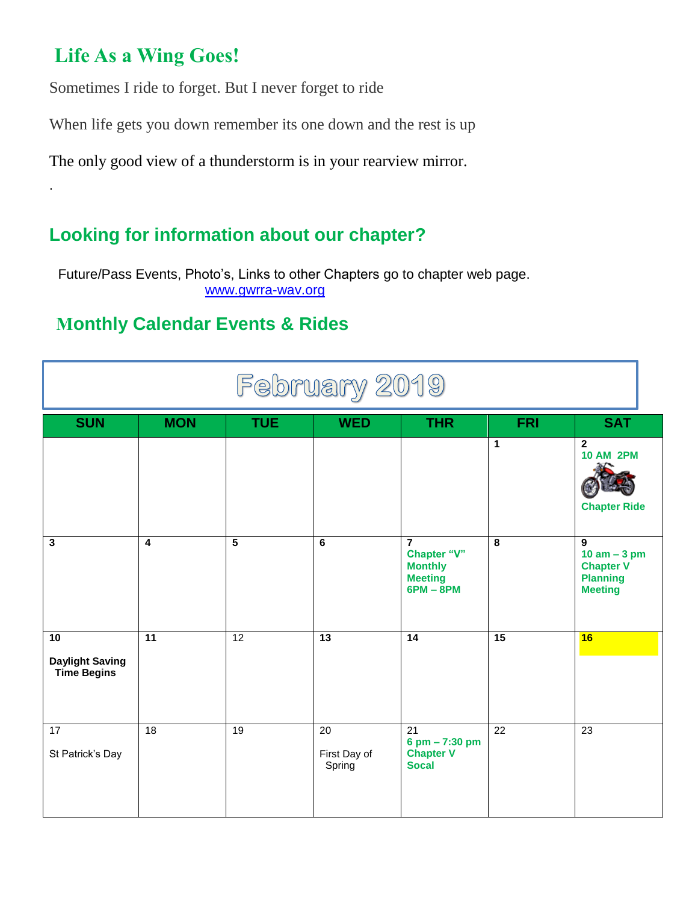## **Life As a Wing Goes!**

.

Sometimes I ride to forget. But I never forget to ride

When life gets you down remember its one down and the rest is up

The only good view of a thunderstorm is in your rearview mirror.

## **Looking for information about our chapter?**

Future/Pass Events, Photo's, Links to other Chapters go to chapter web page. [www.gwrra-wav.org](http://www.gwrra-wav.org/)

### **Monthly Calendar Events & Rides**

| February 2019                                      |                         |                 |                                           |                                                                                  |                 |                                                                                            |  |  |  |  |
|----------------------------------------------------|-------------------------|-----------------|-------------------------------------------|----------------------------------------------------------------------------------|-----------------|--------------------------------------------------------------------------------------------|--|--|--|--|
| <b>SUN</b>                                         | <b>MON</b>              | <b>TUE</b>      | <b>WED</b>                                | <b>THR</b>                                                                       | <b>FRI</b>      | <b>SAT</b>                                                                                 |  |  |  |  |
|                                                    |                         |                 |                                           |                                                                                  | $\mathbf{1}$    | $\overline{2}$<br><b>10 AM 2PM</b><br><b>Chapter Ride</b>                                  |  |  |  |  |
| 3                                                  | $\overline{\mathbf{4}}$ | $\overline{5}$  | 6                                         | $\overline{7}$<br>Chapter "V"<br><b>Monthly</b><br><b>Meeting</b><br>$6PM - 8PM$ | 8               | $\overline{9}$<br>$10$ am $-3$ pm<br><b>Chapter V</b><br><b>Planning</b><br><b>Meeting</b> |  |  |  |  |
| 10<br><b>Daylight Saving</b><br><b>Time Begins</b> | $\overline{11}$         | 12              | 13                                        | $\overline{14}$                                                                  | 15              | 16                                                                                         |  |  |  |  |
| 17<br>St Patrick's Day                             | 18                      | $\overline{19}$ | $\overline{20}$<br>First Day of<br>Spring | 21<br>$6$ pm $- 7:30$ pm<br><b>Chapter V</b><br><b>Socal</b>                     | $\overline{22}$ | $\overline{23}$                                                                            |  |  |  |  |